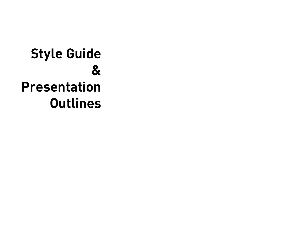## **Style Guide & Presentation Outlines**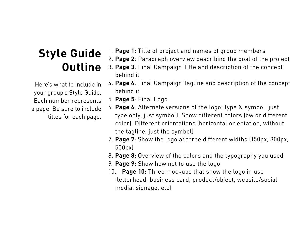## **Style Guide Outline**

Here's what to include in your group's Style Guide. Each number represents a page. Be sure to include titles for each page.

- 1. **Page 1:** Title of project and names of group members
- 2. **Page 2**: Paragraph overview describing the goal of the project
- 3. **Page 3**: Final Campaign Title and description of the concept behind it
- 4. **Page 4**: Final Campaign Tagline and description of the concept behind it
- 5. **Page 5**: Final Logo
- 6. **Page 6**: Alternate versions of the logo: type & symbol, just type only, just symbol). Show different colors (bw or different color). Different orientations (horizontal orientation, without the tagline, just the symbol)
- 7. **Page 7**: Show the logo at three different widths (150px, 300px, 500px)
- 8. **Page 8**: Overview of the colors and the typography you used
- 9. **Page 9**: Show how not to use the logo
- 10. **Page 10**: Three mockups that show the logo in use (letterhead, business card, product/object, website/social media, signage, etc)